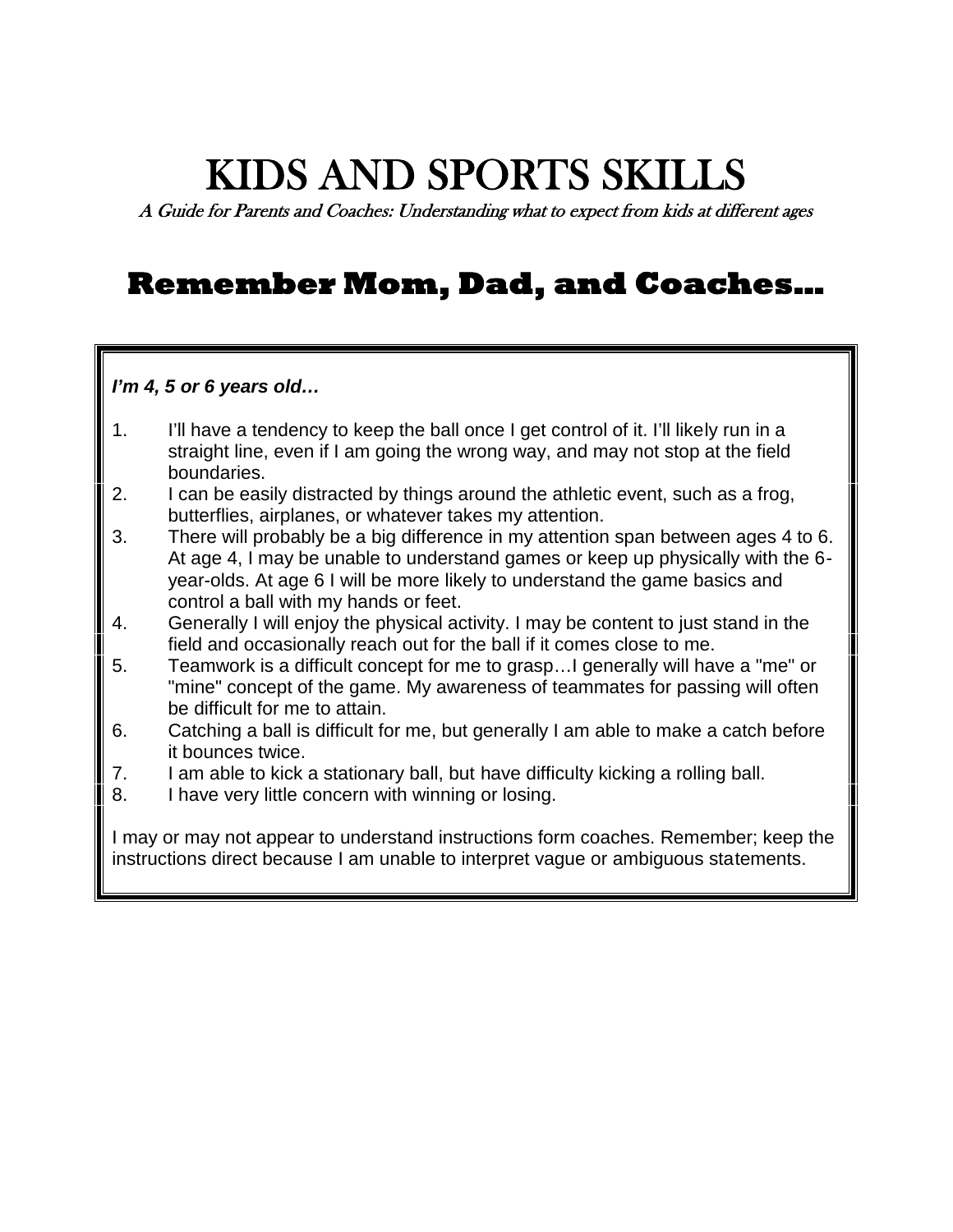## **KIDS AND SPORTS SKILLS**

*A Guide for Parents and Coaches: Understanding what to expect from kids at different ages*

### **Remember Mom, Dad, and Coaches…**

#### *I'm 4, 5 or 6 years old…*

- 1. I'll have a tendency to keep the ball once I get control of it. I'll likely run in a straight line, even if I am going the wrong way, and may not stop at the field boundaries.
- 2. I can be easily distracted by things around the athletic event, such as a frog, butterflies, airplanes, or whatever takes my attention.
- 3. There will probably be a big difference in my attention span between ages 4 to 6. At age 4, I may be unable to understand games or keep up physically with the 6 year-olds. At age 6 I will be more likely to understand the game basics and control a ball with my hands or feet.
- 4. Generally I will enjoy the physical activity. I may be content to just stand in the field and occasionally reach out for the ball if it comes close to me.
- 5. Teamwork is a difficult concept for me to grasp…I generally will have a "me" or "mine" concept of the game. My awareness of teammates for passing will often be difficult for me to attain.
- 6. Catching a ball is difficult for me, but generally I am able to make a catch before it bounces twice.
- 7. I am able to kick a stationary ball, but have difficulty kicking a rolling ball.
- 8. I have very little concern with winning or losing.

I may or may not appear to understand instructions form coaches. Remember; keep the instructions direct because I am unable to interpret vague or ambiguous statements.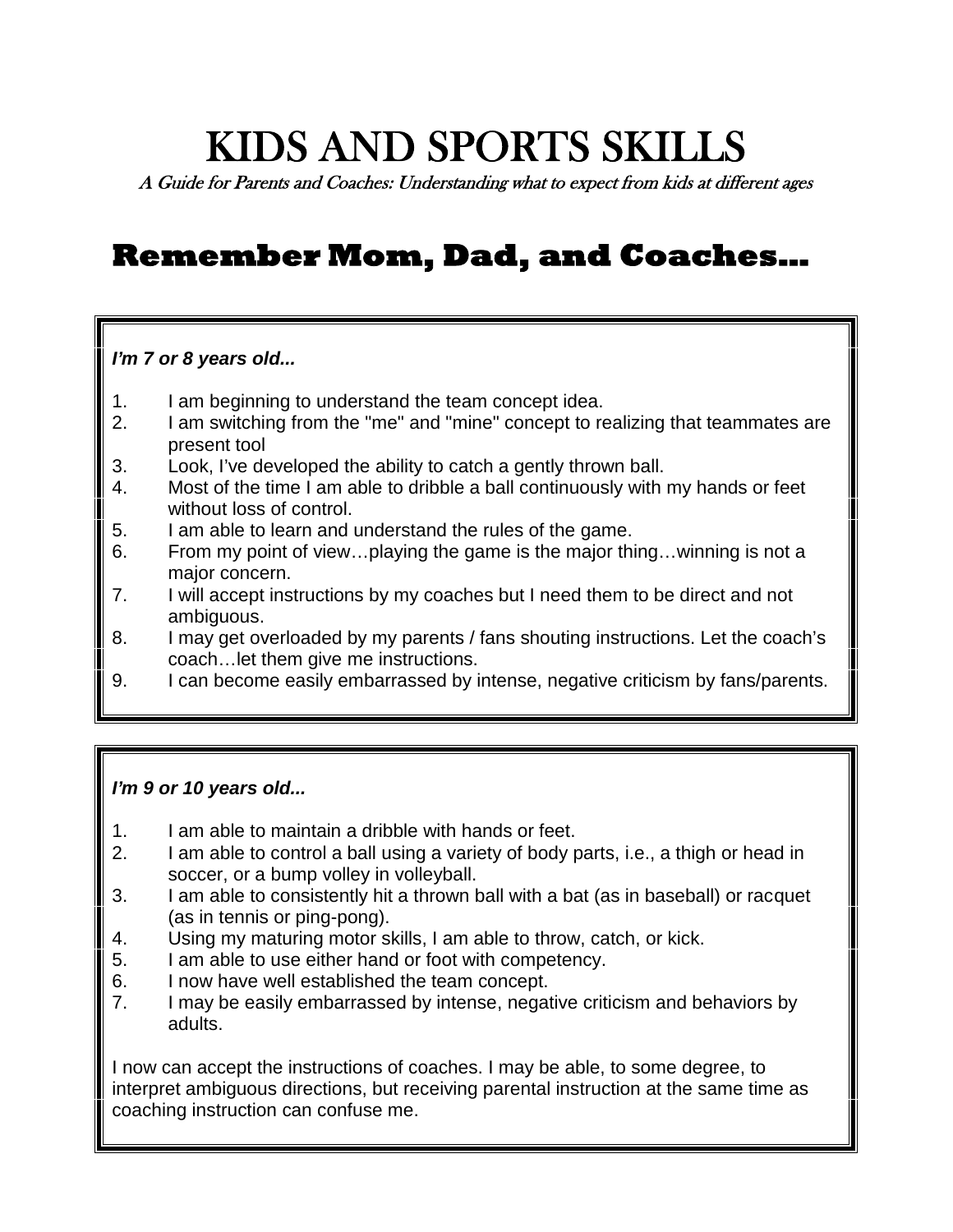# **KIDS AND SPORTS SKILLS**

*A Guide for Parents and Coaches: Understanding what to expect from kids at different ages*

### **Remember Mom, Dad, and Coaches…**

#### *I'm 7 or 8 years old...*

- 1. I am beginning to understand the team concept idea.
- 2. I am switching from the "me" and "mine" concept to realizing that teammates are present tool
- 3. Look, I've developed the ability to catch a gently thrown ball.
- 4. Most of the time I am able to dribble a ball continuously with my hands or feet without loss of control.
- 5. I am able to learn and understand the rules of the game.
- 6. From my point of view…playing the game is the major thing…winning is not a major concern.
- 7. I will accept instructions by my coaches but I need them to be direct and not ambiguous.
- 8. I may get overloaded by my parents / fans shouting instructions. Let the coach's coach…let them give me instructions.
- 9. I can become easily embarrassed by intense, negative criticism by fans/parents.

#### *I'm 9 or 10 years old...*

- 1. I am able to maintain a dribble with hands or feet.
- 2. I am able to control a ball using a variety of body parts, i.e., a thigh or head in soccer, or a bump volley in volleyball.
- 3. I am able to consistently hit a thrown ball with a bat (as in baseball) or racquet (as in tennis or ping-pong).
- 4. Using my maturing motor skills, I am able to throw, catch, or kick.
- 5. I am able to use either hand or foot with competency.
- 6. I now have well established the team concept.
- 7. I may be easily embarrassed by intense, negative criticism and behaviors by adults.

I now can accept the instructions of coaches. I may be able, to some degree, to interpret ambiguous directions, but receiving parental instruction at the same time as coaching instruction can confuse me.